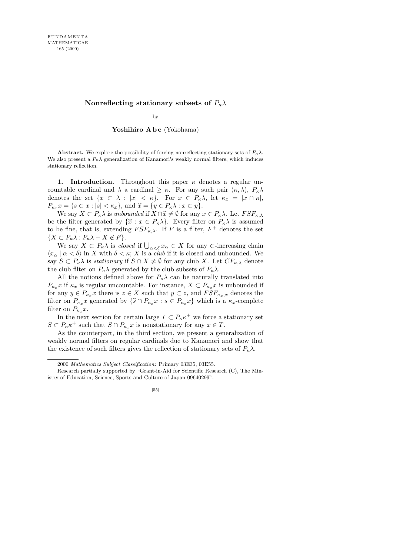## **Nonreflecting stationary subsets of** *Pκλ*

by

## Yoshihiro A b e (Yokohama)

**Abstract.** We explore the possibility of forcing nonreflecting stationary sets of  $P_k \lambda$ . We also present a  $P_k \lambda$  generalization of Kanamori's weakly normal filters, which induces stationary reflection.

1. Introduction. Throughout this paper  $\kappa$  denotes a regular uncountable cardinal and  $\lambda$  a cardinal  $\geq \kappa$ . For any such pair  $(\kappa, \lambda)$ ,  $P_{\kappa} \lambda$ denotes the set  $\{x \subset \lambda : |x| < \kappa\}$ . For  $x \in P_\kappa \lambda$ , let  $\kappa_x = |x \cap \kappa|$ ,  $P_{\kappa_x} x = \{s \subset x : |s| < \kappa_x\}, \text{ and } \hat{x} = \{y \in P_{\kappa}\lambda : x \subset y\}.$ 

We say  $X \subset P_{\kappa} \lambda$  is unbounded if  $X \cap \hat{x} \neq \emptyset$  for any  $x \in P_{\kappa} \lambda$ . Let  $FSF_{\kappa,\lambda}$ be the filter generated by  $\{\hat{x} : x \in P_{\kappa}\lambda\}$ . Every filter on  $P_{\kappa}\lambda$  is assumed to be fine, that is, extending  $FSF_{\kappa,\lambda}$ . If F is a filter,  $F^+$  denotes the set  ${X \subset P_{\kappa} \lambda : P_{\kappa} \lambda - X \not\in F}.$ 

We say  $X \subset P_{\kappa} \lambda$  is *closed* if  $\bigcup_{\alpha < \delta} x_{\alpha} \in X$  for any  $\subset$ -increasing chain  $\langle x_\alpha | \alpha < \delta \rangle$  in X with  $\delta < \kappa$ ; X is a *club* if it is closed and unbounded. We say  $S \subset P_{\kappa} \lambda$  is stationary if  $S \cap X \neq \emptyset$  for any club X. Let  $CF_{\kappa,\lambda}$  denote the club filter on  $P_{\kappa} \lambda$  generated by the club subsets of  $P_{\kappa} \lambda$ .

All the notions defined above for  $P_{\kappa}\lambda$  can be naturally translated into  $P_{\kappa_x} x$  if  $\kappa_x$  is regular uncountable. For instance,  $X \subset P_{\kappa_x} x$  is unbounded if for any  $y \in P_{\kappa_x} x$  there is  $z \in X$  such that  $y \subset z$ , and  $FSF_{\kappa_x,x}$  denotes the filter on  $P_{\kappa_x} x$  generated by  $\{\widehat{s} \cap P_{\kappa_x} x : s \in P_{\kappa_x} x\}$  which is a  $\kappa_x$ -complete filter on  $P_{\kappa_x}x$ .

In the next section for certain large  $T \subset P_{\kappa} \kappa^+$  we force a stationary set  $S \subset P_{\kappa} \kappa^+$  such that  $S \cap P_{\kappa_x} x$  is nonstationary for any  $x \in T$ .

As the counterpart, in the third section, we present a generalization of weakly normal filters on regular cardinals due to Kanamori and show that the existence of such filters gives the reflection of stationary sets of  $P_{k}\lambda$ .

[55]

<sup>2000</sup> *Mathematics Subject Classification*: Primary 03E35, 03E55.

Research partially supported by "Grant-in-Aid for Scientific Research (C), The Ministry of Education, Science, Sports and Culture of Japan 09640299".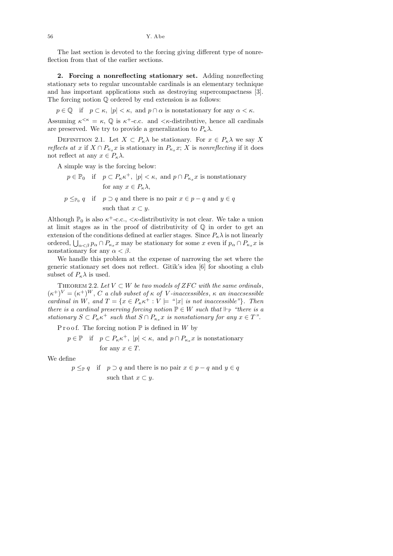The last section is devoted to the forcing giving different type of nonreflection from that of the earlier sections.

2. Forcing a nonreflecting stationary set. Adding nonreflecting stationary sets to regular uncountable cardinals is an elementary technique and has important applications such as destroying supercompactness [3]. The forcing notion Q ordered by end extension is as follows:

 $p \in \mathbb{Q}$  if  $p \subset \kappa$ ,  $|p| < \kappa$ , and  $p \cap \alpha$  is nonstationary for any  $\alpha < \kappa$ .

Assuming  $\kappa^{\leq \kappa} = \kappa$ ,  $\mathbb{Q}$  is  $\kappa^+$ -c.c. and  $\leq \kappa$ -distributive, hence all cardinals are preserved. We try to provide a generalization to  $P_{\kappa}\lambda$ .

DEFINITION 2.1. Let  $X \subset P_{\kappa} \lambda$  be stationary. For  $x \in P_{\kappa} \lambda$  we say X reflects at x if  $X \cap P_{\kappa_x} x$  is stationary in  $P_{\kappa_x} x$ ; X is nonreflecting if it does not reflect at any  $x \in P_{\kappa} \lambda$ .

A simple way is the forcing below:

- $p \in \mathbb{P}_0$  if  $p \subset P_{\kappa} \kappa^+$ ,  $|p| < \kappa$ , and  $p \cap P_{\kappa_x} x$  is nonstationary for any  $x \in P_{\kappa} \lambda$ ,
- $p \leq_{\mathbb{P}_0} q$  if  $p \supset q$  and there is no pair  $x \in p q$  and  $y \in q$ such that  $x \subset y$ .

Although  $\mathbb{P}_0$  is also  $\kappa^+$ -c.c.,  $\lt \kappa$ -distributivity is not clear. We take a union at limit stages as in the proof of distributivity of  $\mathbb Q$  in order to get an extension of the conditions defined at earlier stages. Since  $P_{\kappa}\lambda$  is not linearly ordered,  $\bigcup_{\alpha<\beta} p_\alpha \cap P_{\kappa_x} x$  may be stationary for some x even if  $p_\alpha \cap P_{\kappa_x} x$  is nonstationary for any  $\alpha < \beta$ .

We handle this problem at the expense of narrowing the set where the generic stationary set does not reflect. Gitik's idea [6] for shooting a club subset of  $P_{\kappa}\lambda$  is used.

THEOREM 2.2. Let  $V \subset W$  be two models of ZFC with the same ordinals,  $(\kappa^+)^V = (\kappa^+)^W$ , C a club subset of  $\kappa$  of V-inaccessibles,  $\kappa$  an inaccsessible cardinal in W, and  $T = \{x \in P_{\kappa} \kappa^+ : V \models$  "|x| is not inaccessible"}. Then there is a cardinal preserving forcing notion  $\mathbb{P} \in W$  such that  $\Vdash_{\mathbb{P}}$  "there is a stationary  $S \subset P_{\kappa} \kappa^+$  such that  $S \cap P_{\kappa_x} x$  is nonstationary for any  $x \in T$ ".

P r o o f. The forcing notion  $\mathbb P$  is defined in W by

$$
p \in \mathbb{P}
$$
 if  $p \subset P_{\kappa} \kappa^+$ ,  $|p| < \kappa$ , and  $p \cap P_{\kappa_x} x$  is nonstationary  
for any  $x \in T$ .

We define

 $p \leq_{\mathbb{P}} q$  if  $p \supset q$  and there is no pair  $x \in p - q$  and  $y \in q$ such that  $x \subset y$ .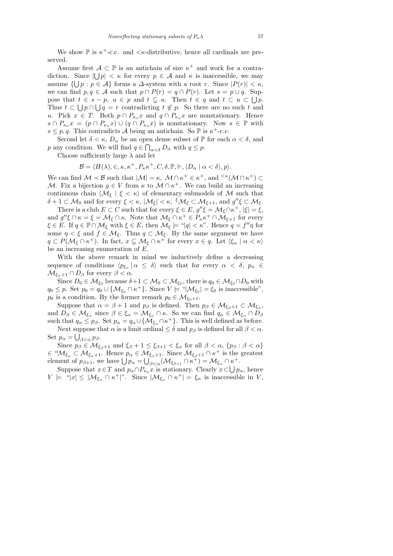We show  $\mathbb P$  is  $\kappa^+$ -c.c. and  $\langle \kappa$ -distributive, hence all cardinals are preserved.

Assume first  $A \subset \mathbb{P}$  is an antichain of size  $\kappa^+$  and work for a contradiction. Since  $|\bigcup p| < \kappa$  for every  $p \in \mathcal{A}$  and  $\kappa$  is inaccessible, we may assume  $\{\bigcup p : p \in \mathcal{A}\}\$ forms a  $\Delta$ -system with a root r. Since  $|P(r)| < \kappa$ , we can find  $p, q \in A$  such that  $p \cap P(r) = q \cap P(r)$ . Let  $s = p \cup q$ . Suppose that  $t \in s - p$ ,  $u \in p$  and  $t \subset u$ . Then  $t \in q$  and  $t \subset u \subset \bigcup p$ . Thus  $t \subset \bigcup p \cap \bigcup q = r$  contradicting  $t \notin p$ . So there are no such t and u. Pick  $x \in T$ . Both  $p \cap P_{\kappa_x} x$  and  $q \cap P_{\kappa_x} x$  are nonstationary. Hence  $s \cap P_{\kappa_x} x = (p \cap P_{\kappa_x} x) \cup (q \cap P_{\kappa_x} x)$  is nonstationary. Now  $s \in \mathbb{P}$  with  $s \leq p, q$ . This contradicts A being an antichain. So  $\mathbb P$  is  $\kappa^+$ -c.c.

Second let  $\delta < \kappa$ ,  $D_{\alpha}$  be an open dense subset of  $\mathbb P$  for each  $\alpha < \delta$ , and p any condition. We will find  $q \in \bigcap_{\alpha < \delta} D_{\alpha}$  with  $q \leq p$ .

Choose sufficiently large  $\lambda$  and let

 $\mathcal{B} = \langle H(\lambda), \in, \kappa, \kappa^+, P_{\kappa} \kappa^+, C, \delta, \mathbb{P}, \Vdash, \langle D_{\alpha} \mid \alpha < \delta \rangle, p \rangle.$ 

We can find  $\mathcal{M} \prec \mathcal{B}$  such that  $|\mathcal{M}| = \kappa$ ,  $\mathcal{M} \cap \kappa^+ \in \kappa^+$ , and  $\leq \kappa(\mathcal{M} \cap \kappa^+) \subset$ M. Fix a bijection  $g \in V$  from  $\kappa$  to  $\mathcal{M} \cap \kappa^+$ . We can build an increasing continuous chain  $\langle \mathcal{M}_{\xi} | \xi \langle \kappa \rangle$  of elementary submodels of M such that  $\delta + 1 \subset \mathcal{M}_0$  and for every  $\xi < \kappa$ ,  $|\mathcal{M}_\xi| < \kappa$ ,  ${}^{\xi}\mathcal{M}_\xi \subset \mathcal{M}_{\xi+1}$ , and  $g''\xi \subset \mathcal{M}_\xi$ .

There is a club  $E \subset C$  such that for every  $\xi \in E$ ,  $g''\xi = \mathcal{M}_{\xi} \cap \kappa^{+}$ ,  $|\xi| = \xi$ , and  $g''\xi \cap \kappa = \xi = \mathcal{M}_{\xi} \cap \kappa$ . Note that  $\mathcal{M}_{\xi} \cap \kappa^+ \in P_{\kappa} \kappa^+ \cap \mathcal{M}_{\xi+1}$  for every  $\xi \in E$ . If  $q \in \mathbb{P} \cap \mathcal{M}_{\xi}$  with  $\xi \in E$ , then  $\mathcal{M}_{\xi} \models \text{``}|q| < \kappa$ ". Hence  $q = f''\eta$  for some  $\eta < \xi$  and  $f \in \mathcal{M}_{\xi}$ . Thus  $q \subset \mathcal{M}_{\xi}$ . By the same argument we have  $q \subset P(\mathcal{M}_\xi \cap \kappa^+)$ . In fact,  $x \subsetneq \mathcal{M}_\xi \cap \kappa^+$  for every  $x \in q$ . Let  $\langle \xi_\alpha | \alpha < \kappa \rangle$ be an increasing enumeration of E.

With the above remark in mind we inductively define a decreasing sequence of conditions  $\langle p_{\xi_\alpha} | \alpha \leq \delta \rangle$  such that for every  $\alpha < \delta$ ,  $p_\alpha \in$  $\mathcal{M}_{\xi_{\alpha}+1} \cap D_{\beta}$  for every  $\beta < \alpha$ .

Since  $D_0 \in M_{\xi_0}$  because  $\delta+1 \subset M_0 \subset M_{\xi_0}$ , there is  $q_0 \in M_{\xi_0} \cap D_0$  with  $q_0 \leq p$ . Set  $p_0 = q_0 \cup \{ \mathcal{M}_{\xi_0} \cap \kappa^+ \}$ . Since  $V \models ``|\mathcal{M}_{\xi_0}| = \xi_0$  is inaccessible",  $p_0$  is a condition. By the former remark  $p_0 \in \mathcal{M}_{\xi_0+1}$ .

Suppose that  $\alpha = \beta + 1$  and  $p_{\beta}$  is defined. Then  $p_{\beta} \in M_{\xi_{\beta}+1} \subset M_{\xi_{\alpha}}$ , and  $D_{\beta} \in M_{\xi_{\alpha}}$  since  $\beta \in \xi_{\alpha} = M_{\xi_{\alpha}} \cap \kappa$ . So we can find  $q_{\alpha} \in M_{\xi_{\alpha}} \cap D_{\beta}$ such that  $q_{\alpha} \leq p_{\beta}$ . Set  $p_{\alpha} = q_{\alpha} \cup \{ \mathcal{M}_{\xi_{\alpha}} \cap \kappa^+ \}$ . This is well defined as before.

Next suppose that  $\alpha$  is a limit ordinal  $\leq \delta$  and  $p_\beta$  is defined for all  $\beta < \alpha$ . Set  $p_{\alpha} = \bigcup_{\beta < \alpha} p_{\beta}$ .

Since  $p_{\beta} \in M_{\xi_{\beta}+1}$  and  $\xi_{\beta} + 1 \leq \xi_{\beta+1} < \xi_{\alpha}$  for all  $\beta < \alpha$ ,  $\{p_{\beta} : \beta < \alpha\}$  $\in {}^{\alpha}\mathcal{M}_{\xi_{\alpha}} \subset \mathcal{M}_{\xi_{\alpha}+1}$ . Hence  $p_{\alpha} \in \mathcal{M}_{\xi_{\alpha}+1}$ . Since  $\mathcal{M}_{\xi_{\beta}+1} \cap \kappa^{+}$  is the greatest element of  $p_{\beta+1}$ , we have  $\bigcup p_{\alpha} = \bigcup_{\beta < \alpha} (\mathcal{M}_{\xi_{\beta+1}} \cap \kappa^+) = \mathcal{M}_{\xi_{\alpha}} \cap \kappa^+$ .

Suppose that  $x \in T$  and  $p_{\alpha} \cap P_{\kappa_x} x$  is stationary. Clearly  $x \subset \bigcup p_{\alpha}$ , hence  $V \models "|x| \leq |\mathcal{M}_{\xi_{\alpha}} \cap \kappa^+|$ ". Since  $|\mathcal{M}_{\xi_{\alpha}} \cap \kappa^+| = \xi_{\alpha}$  is inaccessible in V,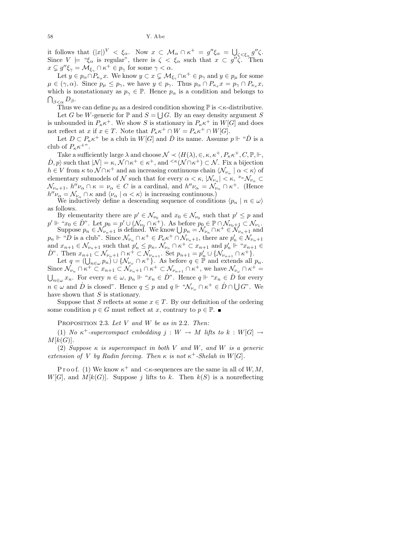58 Y. Abe

it follows that  $(|x|)^V < \xi_\alpha$ . Now  $x \subset \mathcal{M}_\alpha \cap \kappa^+ = g'' \xi_\alpha = \bigcup_{\zeta < \xi_\alpha} g'' \zeta$ . Since  $V \models \mathcal{L}_{\alpha}$  is regular", there is  $\zeta < \xi_{\alpha}$  such that  $x \in g''\zeta$ . Then  $x \subsetneq g''\xi_{\gamma} = \mathcal{M}_{\xi_{\gamma}} \cap \kappa^+ \in p_{\gamma}$  for some  $\gamma < \alpha$ .

Let  $y \in p_{\alpha} \cap P_{\kappa_x} x$ . We know  $y \subset x \subsetneq \mathcal{M}_{\xi_{\gamma}} \cap \kappa^+ \in p_{\gamma}$  and  $y \in p_{\mu}$  for some  $\mu \in (\gamma, \alpha)$ . Since  $p_{\mu} \leq p_{\gamma}$ , we have  $y \in p_{\gamma}$ . Thus  $p_{\alpha} \cap P_{\kappa_x} x = p_{\gamma} \cap P_{\kappa_x} x$ , which is nonstationary as  $p_{\gamma} \in \mathbb{P}$ . Hence  $p_{\alpha}$  is a condition and belongs to  $\bigcap_{\beta<\alpha} D_\beta.$ 

Thus we can define  $p_{\delta}$  as a desired condition showing  $\mathbb{P}$  is  $\lt \kappa$ -distributive.

Let G be W-generic for  $\mathbb P$  and  $S = \bigcup G$ . By an easy density argument S is unbounded in  $P_{\kappa} \kappa^+$ . We show S is stationary in  $P_{\kappa} \kappa^+$  in  $W[G]$  and does not reflect at x if  $x \in T$ . Note that  $P_{\kappa} \kappa^+ \cap W = P_{\kappa} \kappa^+ \cap W[G]$ .

Let  $D \subset P_{\kappa} \kappa^+$  be a club in  $W[G]$  and  $\dot{D}$  its name. Assume  $p \Vdash \text{``}\dot{D}$  is a club of  $P_{\kappa} \kappa^{+\nu}$ .

Take a sufficiently large  $\lambda$  and choose  $\mathcal{N} \prec \langle H(\lambda), \in, \kappa, \kappa^+, P_{\kappa} \kappa^+, C, \mathbb{P}, \Vdash,$  $(D, p)$  such that  $|\mathcal{N}| = \kappa$ ,  $\mathcal{N} \cap \kappa^+ \in \kappa^+$ , and  $\leq \kappa(\mathcal{N} \cap \kappa^+) \subset \mathcal{N}$ . Fix a bijection  $h \in V$  from  $\kappa$  to  $\mathcal{N} \cap \kappa^+$  and an increasing continuous chain  $\langle \mathcal{N}_{\nu_\alpha} \mid \alpha < \kappa \rangle$  of elementary submodels of  $\mathcal N$  such that for every  $\alpha < \kappa$ ,  $|\mathcal N_{\nu_\alpha}| < \kappa$ ,  $\sqrt[\nu_\alpha]{\nu_\alpha} \subset$  $\mathcal{N}_{\nu_{\alpha}+1}$ ,  $h''\nu_{\alpha} \cap \kappa = \nu_{\alpha} \in C$  is a cardinal, and  $h''\nu_{\alpha} = \mathcal{N}_{\nu_{\alpha}} \cap \kappa^{+}$ . (Hence  $h''\nu_{\alpha} = \mathcal{N}_{\nu_{\alpha}} \cap \kappa$  and  $\langle \nu_{\alpha} \mid \alpha \langle \kappa \rangle$  is increasing continuous.)

We inductively define a descending sequence of conditions  $\langle p_n | n \in \omega \rangle$ as follows.

By elementarity there are  $p' \in \mathcal{N}_{\nu_0}$  and  $x_0 \in \mathcal{N}_{\nu_0}$  such that  $p' \leq p$  and  $p' \Vdash \llbracket x_0 \in \dot{D}$ ". Let  $p_0 = p' \cup (\mathcal{N}_{\nu_0} \cap \kappa^+)$ . As before  $p_0 \in \mathbb{P} \cap \mathcal{N}_{\nu_0+1} \subset \mathcal{N}_{\nu_1}$ .

Suppose  $p_n \in \mathcal{N}_{\nu_n+1}$  is defined. We know  $\bigcup p_n = \mathcal{N}_{\nu_n} \cap \kappa^+ \in \mathcal{N}_{\nu_n+1}$  and  $p_n \Vdash ``\overrightarrow{D}$  is a club". Since  $\mathcal{N}_{\nu_n} \cap \kappa^+ \in P_{\kappa} \kappa^+ \cap \overline{\mathcal{N}}_{\nu_n+1}$ , there are  $p'_n \in \mathcal{N}_{\nu_n+1}$ and  $x_{n+1} \in \mathcal{N}_{\nu_n+1}$  such that  $p'_n \leq p_n$ ,  $\mathcal{N}_{\nu_n} \cap \kappa^+ \subset x_{n+1}$  and  $p'_n \Vdash "x_{n+1} \in$  $D^{\nu}$ . Then  $x_{n+1} \subset \mathcal{N}_{\nu_{n+1}} \cap \kappa^+ \subset \mathcal{N}_{\nu_{n+1}}$ . Set  $p_{n+1} = p'_n \cup \{\mathcal{N}_{\nu_{n+1}} \cap \kappa^+\}.$ 

Let  $q = (\bigcup_{n \in \omega} p_n) \cup \{ \mathcal{N}_{\nu_\omega} \cap \kappa^+ \}$ <sup>\*</sup>As before  $q \in \mathbb{P}$  and extends all  $p_n$ . Since  $\mathcal{N}_{\nu_n} \cap \kappa^+ \subset x_{n+1} \subset \mathcal{N}_{\nu_{n+1}} \cap \kappa^+ \subset \mathcal{N}_{\nu_{n+1}} \cap \kappa^+$ , we have  $\mathcal{N}_{\nu_\omega} \cap \kappa^+ =$  $\bigcup_{n\in\omega}x_n$ . For every  $n\in\omega$ ,  $p_n\Vdash "x_n\in\dot{D}$ ". Hence  $q\Vdash "x_n\in\dot{D}$  for every  $n \in \omega$  and  $\dot{D}$  is closed". Hence  $q \leq p$  and  $q \Vdash \text{``}\mathcal{N}_{\nu_{\omega}} \cap \kappa^+ \in \dot{D} \cap \bigcup G$ ". We have shown that  $S$  is stationary.

Suppose that S reflects at some  $x \in T$ . By our definition of the ordering some condition  $p \in G$  must reflect at x, contrary to  $p \in \mathbb{P}$ .

PROPOSITION 2.3. Let  $V$  and  $W$  be as in 2.2. Then:

(1) No  $\kappa^+$ -supercompact embedding  $j: W \to M$  lifts to  $k: W[G] \to$  $M[k(G)]$ .

(2) Suppose  $\kappa$  is supercompact in both V and W, and W is a generic extension of V by Radin forcing. Then  $\kappa$  is not  $\kappa^+$ -Shelah in W[G].

P r o o f. (1) We know  $\kappa^+$  and  $\lt \kappa$ -sequences are the same in all of  $W, M$ ,  $W[G]$ , and  $M[k(G)]$ . Suppose j lifts to k. Then  $k(S)$  is a nonreflecting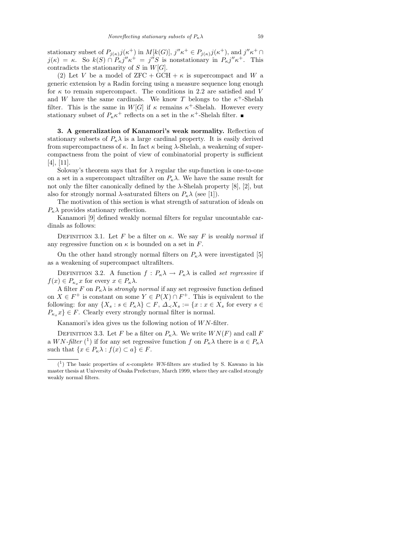stationary subset of  $P_{j(\kappa)}j(\kappa^+)$  in  $M[k(G)], j''\kappa^+ \in P_{j(\kappa)}j(\kappa^+),$  and  $j''\kappa^+ \cap$  $j(\kappa) = \kappa$ . So  $k(S) \cap P_{\kappa}j''\kappa^+ = j''S$  is nonstationary in  $P_{\kappa}j''\kappa^+$ . This contradicts the stationarity of S in  $W[G]$ .

(2) Let V be a model of  $ZFC + GCH + \kappa$  is supercompact and W a generic extension by a Radin forcing using a measure sequence long enough for  $\kappa$  to remain supercompact. The conditions in 2.2 are satisfied and V and W have the same cardinals. We know T belongs to the  $\kappa^+$ -Shelah filter. This is the same in  $W[G]$  if  $\kappa$  remains  $\kappa^+$ -Shelah. However every stationary subset of  $P_{\kappa} \kappa^+$  reflects on a set in the  $\kappa^+$ -Shelah filter.

3. A generalization of Kanamori's weak normality. Reflection of stationary subsets of  $P_{\kappa}\lambda$  is a large cardinal property. It is easily derived from supercompactness of  $\kappa$ . In fact  $\kappa$  being  $\lambda$ -Shelah, a weakening of supercompactness from the point of view of combinatorial property is sufficient [4], [11].

Solovay's theorem says that for  $\lambda$  regular the sup-function is one-to-one on a set in a supercompact ultrafilter on  $P_{\kappa}\lambda$ . We have the same result for not only the filter canonically defined by the  $\lambda$ -Shelah property [8], [2], but also for strongly normal  $\lambda$ -saturated filters on  $P_{\kappa}\lambda$  (see [1]).

The motivation of this section is what strength of saturation of ideals on  $P_{\kappa}$  provides stationary reflection.

Kanamori [9] defined weakly normal filters for regular uncountable cardinals as follows:

DEFINITION 3.1. Let F be a filter on  $\kappa$ . We say F is weakly normal if any regressive function on  $\kappa$  is bounded on a set in F.

On the other hand strongly normal filters on  $P_{\kappa}\lambda$  were investigated [5] as a weakening of supercompact ultrafilters.

DEFINITION 3.2. A function  $f: P_{\kappa} \lambda \to P_{\kappa} \lambda$  is called set regressive if  $f(x) \in P_{\kappa_x} x$  for every  $x \in P_{\kappa} \lambda$ .

A filter F on  $P_{\kappa} \lambda$  is *strongly normal* if any set regressive function defined on  $X \in F^+$  is constant on some  $Y \in P(X) \cap F^+$ . This is equivalent to the following: for any  $\{X_s : s \in P_\kappa \lambda\} \subset F$ ,  $\Delta \leq X_s := \{x : x \in X_s \text{ for every } s \in \mathbb{R}\}$  $P_{\kappa_x} x$   $\in$  F. Clearly every strongly normal filter is normal.

Kanamori's idea gives us the following notion of  $WN$ -filter.

DEFINITION 3.3. Let F be a filter on  $P_{\kappa} \lambda$ . We write  $WN(F)$  and call F a WN-filter (<sup>1</sup>) if for any set regressive function f on  $P_{\kappa} \lambda$  there is  $a \in P_{\kappa} \lambda$ such that  $\{x \in P_{\kappa}\lambda : f(x) \subset a\} \in F$ .

<sup>(</sup> 1 ) The basic properties of *κ*-complete *WN*-filters are studied by S. Kawano in his master thesis at University of Osaka Prefecture, March 1999, where they are called strongly weakly normal filters.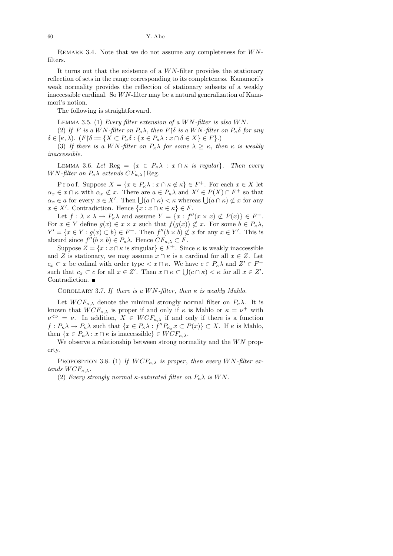REMARK 3.4. Note that we do not assume any completeness for  $WN$ filters.

It turns out that the existence of a  $WN$ -filter provides the stationary reflection of sets in the range corresponding to its completeness. Kanamori's weak normality provides the reflection of stationary subsets of a weakly inaccessible cardinal. So  $WN$ -filter may be a natural generalization of Kanamori's notion.

The following is straightforward.

LEMMA 3.5. (1) Every filter extension of a  $WN$ -filter is also  $WN$ . (2) If F is a WN-filter on  $P_{\kappa} \lambda$ , then  $F \upharpoonright \delta$  is a WN-filter on  $P_{\kappa} \delta$  for any  $\delta \in [\kappa, \lambda)$ .  $(F{\upharpoonright}\delta := \{X \subset P_{\kappa}\delta : \{x \in P_{\kappa}\lambda : x \cap \delta \in X\} \in F\}.$ 

(3) If there is a WN-filter on  $P_{\kappa} \lambda$  for some  $\lambda \geq \kappa$ , then  $\kappa$  is weakly inaccessible.

LEMMA 3.6. Let Reg =  $\{x \in P_{\kappa} \lambda : x \cap \kappa \text{ is regular}\}\.$  Then every WN-filter on  $P_{\kappa} \lambda$  extends  $CF_{\kappa, \lambda}$  Reg.

P r o o f. Suppose  $X = \{x \in P_\kappa \lambda : x \cap \kappa \notin \kappa\} \in F^+$ . For each  $x \in X$  let  $\alpha_x \in \mathcal{x} \cap \kappa$  with  $\alpha_x \not\subset \mathcal{x}$ . There are  $a \in P_{\kappa} \lambda$  and  $X' \in P(X) \cap F^+$  so that  $\alpha_x \in a$  for every  $x \in X'$ . Then  $\bigcup (a \cap \kappa) < \kappa$  whereas  $\bigcup (a \cap \kappa) \nsubseteq x$  for any  $x \in X'$ . Contradiction. Hence  $\{x : x \cap \kappa \in \kappa\} \in F$ .

Let  $f: \lambda \times \lambda \to P_{\kappa} \lambda$  and assume  $Y = \{x : f''(x \times x) \not\subset P(x)\} \in F^+$ . For  $x \in Y$  define  $g(x) \in x \times x$  such that  $f(g(x)) \not\subset x$ . For some  $b \in P_{\kappa} \lambda$ ,  $Y' = \{x \in Y : g(x) \subset b\} \in F^+$ . Then  $f''(b \times b) \not\subset x$  for any  $x \in Y'$ . This is absurd since  $f''(b \times b) \in P_{\kappa} \lambda$ . Hence  $CF_{\kappa, \lambda} \subset F$ .

Suppose  $Z = \{x : x \cap \kappa \text{ is singular}\}\in F^+$ . Since  $\kappa$  is weakly inaccessible and Z is stationary, we may assume  $x \cap \kappa$  is a cardinal for all  $x \in Z$ . Let  $c_x \subset x$  be cofinal with order type  $\lt x \cap \kappa$ . We have  $c \in P_{\kappa} \lambda$  and  $Z' \in F^+$ such that  $c_x \subset c$  for all  $x \in Z'$ . Then  $x \cap \kappa \subset \bigcup (c \cap \kappa) < \kappa$  for all  $x \in Z'$ . Contradiction.

COROLLARY 3.7. If there is a WN-filter, then  $\kappa$  is weakly Mahlo.

Let  $WCF_{\kappa,\lambda}$  denote the minimal strongly normal filter on  $P_{\kappa}\lambda$ . It is known that  $WCF_{\kappa,\lambda}$  is proper if and only if  $\kappa$  is Mahlo or  $\kappa = \nu^+$  with  $\nu^{\leq \nu} = \nu$ . In addition,  $X \in WCF_{\kappa,\lambda}$  if and only if there is a function  $f: P_{\kappa}\lambda \to P_{\kappa}\lambda$  such that  $\{x \in P_{\kappa}\lambda : f''P_{\kappa_x}x \subset P(x)\} \subset X$ . If  $\kappa$  is Mahlo, then  $\{x \in P_{\kappa}\lambda : x \cap \kappa \text{ is inaccessible}\}\in WCF_{\kappa,\lambda}.$ 

We observe a relationship between strong normality and the  $WN$  property.

PROPOSITION 3.8. (1) If  $WCF_{\kappa,\lambda}$  is proper, then every WN-filter extends  $WCF_{\kappa,\lambda}$ .

(2) Every strongly normal  $\kappa$ -saturated filter on  $P_{\kappa}\lambda$  is WN.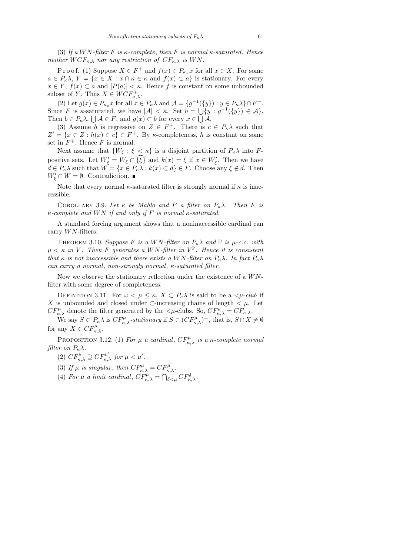(3) If a WN-filter F is  $\kappa$ -complete, then F is normal  $\kappa$ -saturated. Hence neither  $WCF_{\kappa,\lambda}$  nor any restriction of  $CF_{\kappa,\lambda}$  is WN.

P r o o f. (1) Suppose  $X \in F^+$  and  $f(x) \in P_{\kappa_x} x$  for all  $x \in X$ . For some  $a \in P_{\kappa} \lambda$ ,  $Y = \{x \in X : x \cap \kappa \in \kappa \text{ and } f(x) \subset a\}$  is stationary. For every  $x \in Y$ ,  $f(x) \subset a$  and  $|P(a)| < \kappa$ . Hence f is constant on some unbounded subset of Y. Thus  $X \in WCF_{\kappa,\lambda}^+$ .

(2) Let  $g(x) \in P_{\kappa_x} x$  for all  $x \in P_{\kappa} \lambda$  and  $\mathcal{A} = \{g^{-1}(\{y\}) : y \in P_{\kappa} \lambda\} \cap F^+$ . Since F is  $\kappa$ -saturated, we have  $|\mathcal{A}| < \kappa$ . Set  $b = \bigcup \{y : g^{-1}(\{y\}) \in \mathcal{A}\}.$ Then  $b \in P_{\kappa} \lambda$ ,  $\bigcup \mathcal{A} \in F$ , and  $g(x) \subset b$  for every  $x \in \bigcup \mathcal{A}$ .

(3) Assume h is regressive on  $Z \in F^+$ . There is  $c \in P_{\kappa} \lambda$  such that  $Z' = \{x \in Z : h(x) \in c\} \in F^+$ . By  $\kappa$ -completeness, h is constant on some set in  $F^+$ . Hence F is normal.

Next assume that  $\{W_{\xi} : \xi < \kappa\}$  is a disjoint partition of  $P_{\kappa}\lambda$  into Fpositive sets. Let  $W'_\xi = W_\xi \cap {\{\xi\}}$  and  $k(x) = \xi$  if  $x \in W'_\xi$ . Then we have  $d \in P_{\kappa} \lambda$  such that  $W = \{x \in P_{\kappa} \lambda : k(x) \subset d\} \in F$ . Choose any  $\xi \notin d$ . Then  $W'_{\xi} \cap W = \emptyset$ . Contradiction.

Note that every normal  $\kappa$ -saturated filter is strongly normal if  $\kappa$  is inaccessible.

COROLLARY 3.9. Let  $\kappa$  be Mahlo and F a filter on  $P_{\kappa}\lambda$ . Then F is  $\kappa$ -complete and WN if and only if F is normal  $\kappa$ -saturated.

A standard forcing argument shows that a noninaccessible cardinal can carry  $WN$ -filters.

THEOREM 3.10. Suppose F is a WN-filter on  $P_{\kappa} \lambda$  and  $\mathbb{P}$  is  $\mu$ -c.c. with  $\mu < \kappa$  in V. Then F generates a WN-filter in  $V^{\mathbb{P}}$ . Hence it is consistent that  $\kappa$  is not inaccessible and there exists a WN-filter on  $P_{\kappa} \lambda$ . In fact  $P_{\kappa} \lambda$ can carry a normal, non-strongly normal, κ-saturated filter.

Now we observe the stationary reflection under the existence of a  $WN$ filter with some degree of completeness.

DEFINITION 3.11. For  $\omega < \mu \leq \kappa$ ,  $X \subset P_{\kappa} \lambda$  is said to be a  $\langle \mu$ -club if X is unbounded and closed under  $\subset$ -increasing chains of length  $\lt \mu$ . Let  $CF_{\kappa,\lambda}^{\mu}$  denote the filter generated by the  $\langle \mu$ -clubs. So,  $CF_{\kappa,\lambda}^{\kappa} = CF_{\kappa,\lambda}$ .

We say  $S \subset P_{\kappa} \lambda$  is  $CF_{\kappa,\lambda}^{\mu}$ -stationary if  $S \in (CF_{\kappa,\lambda}^{\mu})^+$ , that is,  $S \cap X \neq \emptyset$ for any  $X \in CF_{\kappa,\lambda}^{\mu}$ .

PROPOSITION 3.12. (1) For  $\mu$  a cardinal,  $CF_{\kappa,\lambda}^{\mu}$  is a  $\kappa$ -complete normal filter on  $P_{\kappa}\lambda$ .

- (2)  $CF_{\kappa,\lambda}^{\mu} \supseteq CF_{\kappa,\lambda}^{\mu'}$  for  $\mu < \mu'$ .
- (3) If  $\mu$  is singular, then  $CF_{\kappa,\lambda}^{\mu} = CF_{\kappa,\lambda}^{\mu^+}$ .
- (4) For  $\mu$  a limit cardinal,  $CF_{\kappa,\lambda}^{\mu} = \bigcap_{\delta \leq \mu} CF_{\kappa,\lambda}^{\delta}$ .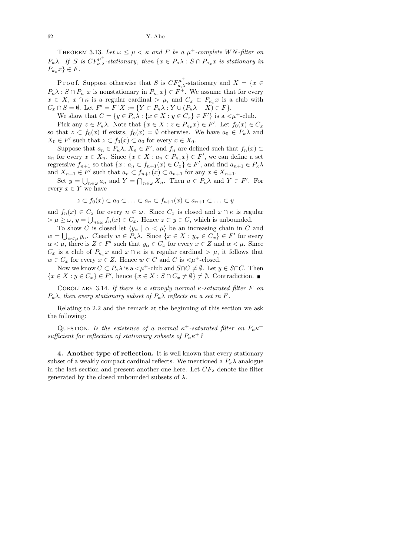THEOREM 3.13. Let  $\omega \leq \mu < \kappa$  and F be a  $\mu^+$ -complete WN-filter on  $P_{\kappa} \lambda$ . If S is  $CF_{\kappa,\lambda}^{\mu^+}$ -stationary, then  $\{x \in P_{\kappa} \lambda : S \cap P_{\kappa_x} x$  is stationary in  $P_{\kappa_x} x$ }  $\in F$ .

P r o o f. Suppose otherwise that S is  $CF_{\kappa,\lambda}^{\mu^+}$ -stationary and  $X = \{x \in$  $P_{\kappa} \lambda : S \cap P_{\kappa_x} x$  is nonstationary in  $P_{\kappa_x} x$   $\in F^+$ . We assume that for every  $x \in X$ ,  $x \cap \kappa$  is a regular cardinal  $\geq \mu$ , and  $C_x \subset P_{\kappa_x} x$  is a club with  $C_x \cap S = \emptyset$ . Let  $F' = F \upharpoonright X := \{ Y \subset P_{\kappa} \lambda : Y \cup (P_{\kappa} \lambda - X) \in F \}.$ 

We show that  $C = \{y \in P_\kappa \lambda : \{x \in X : y \in C_x\} \in F'\}$  is a  $\langle \mu^+$ -club.

Pick any  $z \in P_{\kappa} \lambda$ . Note that  $\{x \in X : z \in P_{\kappa_x} x\} \in F'$ . Let  $f_0(x) \in C_x$ so that  $z \text{ }\subset f_0(x)$  if exists,  $f_0(x) = \emptyset$  otherwise. We have  $a_0 \in P_{\kappa} \lambda$  and  $X_0 \in F'$  such that  $z \subset f_0(x) \subset a_0$  for every  $x \in X_0$ .

Suppose that  $a_n \in P_{\kappa} \lambda$ ,  $X_n \in F'$ , and  $f_n$  are defined such that  $f_n(x) \subset$  $a_n$  for every  $x \in X_n$ . Since  $\{x \in X : a_n \in P_{\kappa_x}x\} \in F'$ , we can define a set regressive  $f_{n+1}$  so that  $\{x : a_n \subset f_{n+1}(x) \in C_x\} \in F'$ , and find  $a_{n+1} \in P_{\kappa} \lambda$ and  $X_{n+1} \in F'$  such that  $a_n \subset f_{n+1}(x) \subset a_{n+1}$  for any  $x \in X_{n+1}$ .

Set  $y = \bigcup_{n \in \omega} a_n$  and  $Y = \bigcap_{n \in \omega} X_n$ . Then  $a \in P_{\kappa} \lambda$  and  $Y \in F'$ . For every  $x \in Y$  we have

$$
z \subset f_0(x) \subset a_0 \subset \ldots \subset a_n \subset f_{n+1}(x) \subset a_{n+1} \subset \ldots \subset y
$$

and  $f_n(x) \in C_x$  for every  $n \in \omega$ . Since  $C_x$  is closed and  $x \cap \kappa$  is regular  $> \mu \geq \omega, y = \bigcup_{n \in \omega} f_n(x) \in C_x$ . Hence  $z \subset y \in C$ , which is unbounded.

To show C is closed let  $\langle y_\alpha | \alpha < \mu \rangle$  be an increasing chain in C and  $w = \bigcup_{\alpha < \mu} y_\alpha$ . Clearly  $w \in P_\kappa \lambda$ . Since  $\{x \in X : y_\alpha \in C_x\} \in F'$  for every  $\alpha < \mu$ , there is  $Z \in F'$  such that  $y_\alpha \in C_x$  for every  $x \in Z$  and  $\alpha < \mu$ . Since  $C_x$  is a club of  $P_{\kappa_x} x$  and  $x \cap \kappa$  is a regular cardinal  $\geq \mu$ , it follows that  $w \in C_x$  for every  $x \in Z$ . Hence  $w \in C$  and C is  $\lt \mu^+$ -closed.

Now we know  $C \subset P_{\kappa} \lambda$  is a  $\lt \mu^+$ -club and  $S \cap C \neq \emptyset$ . Let  $y \in S \cap C$ . Then  $\{x \in X : y \in C_x\} \in F'$ , hence  $\{x \in X : S \cap C_x \neq \emptyset\} \neq \emptyset$ . Contradiction.

COROLLARY 3.14. If there is a strongly normal  $\kappa$ -saturated filter F on  $P_{\kappa}\lambda$ , then every stationary subset of  $P_{\kappa}\lambda$  reflects on a set in F.

Relating to 2.2 and the remark at the beginning of this section we ask the following:

QUESTION. Is the existence of a normal  $\kappa^+$ -saturated filter on  $P_{\kappa} \kappa^+$ sufficient for reflection of stationary subsets of  $P_{\kappa} \kappa^+$ ?

4. Another type of reflection. It is well known that every stationary subset of a weakly compact cardinal reflects. We mentioned a  $P_{\kappa} \lambda$  analogue in the last section and present another one here. Let  $CF_{\lambda}$  denote the filter generated by the closed unbounded subsets of  $\lambda$ .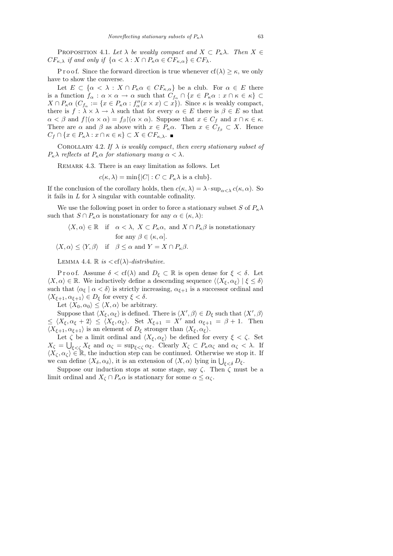PROPOSITION 4.1. Let  $\lambda$  be weakly compact and  $X \subset P_{\kappa} \lambda$ . Then  $X \in$  $CF_{\kappa,\lambda}$  if and only if  $\{\alpha < \lambda : X \cap P_{\kappa} \alpha \in CF_{\kappa,\alpha}\}\in CF_{\lambda}$ .

P r o o f. Since the forward direction is true whenever  $cf(\lambda) \geq \kappa$ , we only have to show the converse.

Let  $E \subset \{\alpha < \lambda : X \cap P_{\kappa} \alpha \in CF_{\kappa,\alpha}\}\$ be a club. For  $\alpha \in E$  there is a function  $f_{\alpha}: \alpha \times \alpha \to \alpha$  such that  $C_{f_{\alpha}} \cap \{x \in P_{\kappa} \alpha : x \cap \kappa \in \kappa\}$  $X \cap P_{\kappa} \alpha$   $(C_{f_{\alpha}} := \{x \in P_{\kappa} \alpha : f''_{\alpha}(x \times x) \subset x\})$ . Since  $\kappa$  is weakly compact, there is  $f : \lambda \times \lambda \to \lambda$  such that for every  $\alpha \in E$  there is  $\beta \in E$  so that  $\alpha < \beta$  and  $f(x \times \alpha) = f_{\beta}(\alpha \times \alpha)$ . Suppose that  $x \in C_f$  and  $x \cap \kappa \in \kappa$ . There are  $\alpha$  and  $\beta$  as above with  $x \in P_{\kappa} \alpha$ . Then  $x \in C_{f_{\beta}} \subset X$ . Hence  $C_f \cap \{x \in P_{\kappa}\lambda : x \cap \kappa \in \kappa\} \subset X \in CF_{\kappa,\lambda}$ .

COROLLARY 4.2. If  $\lambda$  is weakly compact, then every stationary subset of  $P_{\kappa} \lambda$  reflects at  $P_{\kappa} \alpha$  for stationary many  $\alpha < \lambda$ .

REMARK 4.3. There is an easy limitation as follows. Let

$$
c(\kappa, \lambda) = \min\{|C| : C \subset P_{\kappa}\lambda \text{ is a club}\}.
$$

If the conclusion of the corollary holds, then  $c(\kappa, \lambda) = \lambda \cdot \sup_{\alpha < \lambda} c(\kappa, \alpha)$ . So it fails in  $L$  for  $\lambda$  singular with countable cofinality.

We use the following poset in order to force a stationary subset S of  $P_\kappa \lambda$ such that  $S \cap P_{\kappa} \alpha$  is nonstationary for any  $\alpha \in (\kappa, \lambda)$ :

$$
\langle X, \alpha \rangle \in \mathbb{R} \quad \text{if} \quad \alpha < \lambda, \ X \subset P_{\kappa}\alpha, \text{ and } X \cap P_{\kappa}\beta \text{ is nonstationary} \}
$$
\n
$$
\text{for any } \beta \in (\kappa, \alpha].
$$
\n
$$
\langle X, \alpha \rangle \leq \langle Y, \beta \rangle \quad \text{if} \quad \beta \leq \alpha \text{ and } Y = X \cap P_{\kappa}\beta.
$$

LEMMA 4.4.  $\mathbb{R}$  is  $\langle \text{cf}(\lambda) \text{-} distributive.$ 

P r o o f. Assume  $\delta < \text{cf}(\lambda)$  and  $D_{\xi} \subset \mathbb{R}$  is open dense for  $\xi < \delta$ . Let  $\langle X, \alpha \rangle \in \mathbb{R}$ . We inductively define a descending sequence  $\langle \langle X_{\xi}, \alpha_{\xi} \rangle | \xi \leq \delta \rangle$ such that  $\langle \alpha_{\xi} | \alpha < \delta \rangle$  is strictly increasing,  $\alpha_{\xi+1}$  is a successor ordinal and  $\langle X_{\xi+1}, \alpha_{\xi+1} \rangle \in D_{\xi}$  for every  $\xi < \delta$ .

Let  $\langle X_0, \alpha_0 \rangle \leq \langle X, \alpha \rangle$  be arbitrary.

Suppose that  $\langle X_{\xi}, \alpha_{\xi} \rangle$  is defined. There is  $\langle X', \beta \rangle \in D_{\xi}$  such that  $\langle X', \beta \rangle$  $\leq \langle X_{\xi}, \alpha_{\xi} + 2 \rangle \leq \langle X_{\xi}, \alpha_{\xi} \rangle$ . Set  $X_{\xi+1} = X'$  and  $\alpha_{\xi+1} = \beta + 1$ . Then  $\langle X_{\xi+1}, \alpha_{\xi+1} \rangle$  is an element of  $D_{\xi}$  stronger than  $\langle X_{\xi}, \alpha_{\xi} \rangle$ .

Let  $\zeta$  be a limit ordinal and  $\langle X_{\xi}, \alpha_{\xi} \rangle$  be defined for every  $\xi < \zeta$ . Set  $X_{\zeta} = \bigcup_{\xi < \zeta} X_{\xi}$  and  $\alpha_{\zeta} = \sup_{\xi < \zeta} \alpha_{\xi}$ . Clearly  $X_{\zeta} \subset P_{\kappa} \alpha_{\zeta}$  and  $\alpha_{\zeta} < \lambda$ . If  $\langle X_{\zeta}, \alpha_{\zeta} \rangle \in \mathbb{R}$ , the induction step can be continued. Otherwise we stop it. If we can define  $\langle X_{\delta}, \alpha_{\delta} \rangle$ , it is an extension of  $\langle X, \alpha \rangle$  lying in  $\bigcup_{\xi < \delta} D_{\xi}$ .

Suppose our induction stops at some stage, say  $\zeta$ . Then  $\zeta$  must be a limit ordinal and  $X_{\zeta} \cap P_{\kappa} \alpha$  is stationary for some  $\alpha \leq \alpha_{\zeta}$ .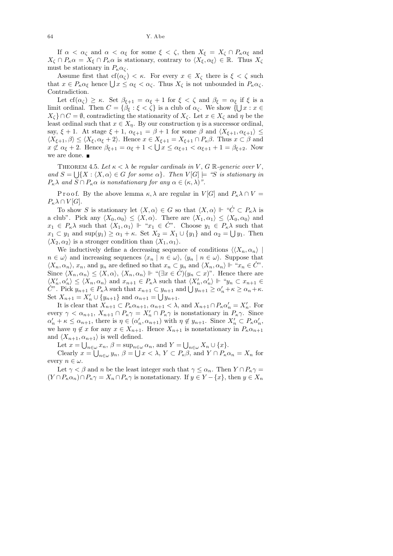If  $\alpha < \alpha_{\zeta}$  and  $\alpha < \alpha_{\xi}$  for some  $\xi < \zeta$ , then  $X_{\xi} = X_{\zeta} \cap P_{\kappa} \alpha_{\xi}$  and  $X_{\zeta} \cap P_{\kappa} \alpha = X_{\xi} \cap P_{\kappa} \alpha$  is stationary, contrary to  $\langle X_{\xi}, \alpha_{\xi} \rangle \in \mathbb{R}$ . Thus  $X_{\zeta}$ must be stationary in  $P_{\kappa} \alpha_{\zeta}$ .

Assume first that cf( $\alpha_{\zeta}$ ) < κ. For every  $x \in X_{\zeta}$  there is  $\xi < \zeta$  such that  $x \in P_{\kappa} \alpha_{\xi}$  hence  $\bigcup x \leq \alpha_{\xi} < \alpha_{\zeta}$ . Thus  $X_{\zeta}$  is not unbounded in  $P_{\kappa} \alpha_{\zeta}$ . Contradiction.

Let  $cf(\alpha_{\zeta}) \geq \kappa$ . Set  $\beta_{\xi+1} = \alpha_{\xi} + 1$  for  $\xi < \zeta$  and  $\beta_{\xi} = \alpha_{\xi}$  if  $\xi$  is a limit ordinal. Then  $C = \{\beta_{\xi} : \xi < \zeta\}$  is a club of  $\alpha_{\zeta}$ . We show  $\{\bigcup x : x \in \zeta\}$  $X_{\zeta}$   $\cap$   $C = \emptyset$ , contradicting the stationarity of  $X_{\zeta}$ . Let  $x \in X_{\zeta}$  and  $\eta$  be the least ordinal such that  $x \in X_{\eta}$ . By our construction  $\eta$  is a successor ordinal, say,  $\xi + 1$ . At stage  $\xi + 1$ ,  $\alpha_{\xi+1} = \beta + 1$  for some  $\beta$  and  $\langle X_{\xi+1}, \alpha_{\xi+1} \rangle \leq$  $\langle X_{\xi+1}, \beta \rangle \leq \langle X_{\xi}, \alpha_{\xi} + 2 \rangle$ . Hence  $x \in X_{\xi+1} = X_{\xi+1} \cap P_{\kappa} \beta$ . Thus  $x \subset \beta$  and  $x \not\subset \alpha_{\xi} + 2$ . Hence  $\beta_{\xi+1} = \alpha_{\xi} + 1 < \bigcup x \leq \alpha_{\xi+1} < \alpha_{\xi+1} + 1 = \beta_{\xi+2}$ . Now we are done.

THEOREM 4.5. Let  $\kappa < \lambda$  be regular cardinals in V, G R-generic over V, and  $S = \bigcup \{X : \langle X, \alpha \rangle \in G \text{ for some } \alpha \}.$  Then  $V[G] \models \text{``$S$ is stationary in}$  $P_{\kappa}\lambda$  and  $S \cap P_{\kappa}\alpha$  is nonstationary for any  $\alpha \in (\kappa, \lambda)$ ".

P r o o f. By the above lemma  $\kappa, \lambda$  are regular in  $V[G]$  and  $P_{\kappa}\lambda \cap V =$  $P_{\kappa} \lambda \cap V[G].$ 

To show S is stationary let  $\langle X, \alpha \rangle \in G$  so that  $\langle X, \alpha \rangle \Vdash "C \subset P_{\kappa} \lambda$  is a club". Pick any  $\langle X_0, \alpha_0 \rangle \leq \langle X, \alpha \rangle$ . There are  $\langle X_1, \alpha_1 \rangle \leq \langle X_0, \alpha_0 \rangle$  and  $x_1 \in P_\kappa \lambda$  such that  $\langle X_1, \alpha_1 \rangle \Vdash \mu^* x_1 \in C$ . Choose  $y_1 \in P_\kappa \lambda$  such that  $x_1 \subset y_1$  and  $\sup(y_1) \ge \alpha_1 + \kappa$ . Set  $X_2 = X_1 \cup \{y_1\}$  and  $\alpha_2 = \bigcup y_1$ . Then  $\langle X_2, \alpha_2 \rangle$  is a stronger condition than  $\langle X_1, \alpha_1 \rangle$ .

We inductively define a decreasing sequence of conditions  $\langle \langle X_n, \alpha_n \rangle |$  $n \in \omega$  and increasing sequences  $\langle x_n | n \in \omega \rangle$ ,  $\langle y_n | n \in \omega \rangle$ . Suppose that  $\langle X_n, \alpha_n \rangle$ ,  $x_n$ , and  $y_n$  are defined so that  $x_n \subset y_n$  and  $\langle X_n, \alpha_n \rangle \Vdash "x_n \in C"$ . Since  $\langle X_n, \alpha_n \rangle \leq \langle X, \alpha \rangle$ ,  $\langle X_n, \alpha_n \rangle \Vdash \text{``}(\exists x \in C)(y_n \subset x)$ ". Hence there are  $\langle X'_n, \alpha'_n \rangle \leq \langle X_n, \alpha_n \rangle$  and  $x_{n+1} \in P_{\kappa} \lambda$  such that  $\langle X'_n, \alpha'_n \rangle \Vdash "y_n \subset x_{n+1} \in$ C". Pick  $y_{n+1} \in P_{\kappa} \lambda$  such that  $x_{n+1} \subset y_{n+1}$  and  $\bigcup y_{n+1} \ge \alpha'_n + \kappa \ge \alpha_n + \kappa$ . Set  $X_{n+1} = X'_n \cup \{y_{n+1}\}\$ and  $\alpha_{n+1} = \bigcup y_{n+1}$ .

It is clear that  $X_{n+1} \subset P_{\kappa} \alpha_{n+1}$ ,  $\alpha_{n+1} < \lambda$ , and  $X_{n+1} \cap P_{\kappa} \alpha'_n = X'_n$ . For every  $\gamma < \alpha_{n+1}$ ,  $X_{n+1} \cap P_{\kappa} \gamma = X_n' \cap P_{\kappa} \gamma$  is nonstationary in  $P_{\kappa} \gamma$ . Since  $\alpha'_n + \kappa \leq \alpha_{n+1}$ , there is  $\eta \in (\alpha'_n, \alpha_{n+1})$  with  $\eta \notin y_{n+1}$ . Since  $X'_n \subset P_{\kappa} \alpha'_n$ , we have  $\eta \notin x$  for any  $x \in X_{n+1}$ . Hence  $X_{n+1}$  is nonstationary in  $P_{\kappa} \alpha_{n+1}$ and  $\langle X_{n+1}, \alpha_{n+1}\rangle$  is well defined.

Let  $x = \bigcup_{n \in \omega} x_n$ ,  $\beta = \sup_{n \in \omega} \alpha_n$ , and  $Y = \bigcup_{n \in \omega} X_n \cup \{x\}$ .

Clearly  $x = \bigcup_{n \in \omega} y_n$ ,  $\beta = \bigcup x < \lambda$ ,  $Y \subset P_{\kappa} \beta$ , and  $Y \cap P_{\kappa} \alpha_n = X_n$  for every  $n \in \omega$ .

Let  $\gamma < \beta$  and n be the least integer such that  $\gamma \leq \alpha_n$ . Then  $Y \cap P_\kappa \gamma =$  $(Y \cap P_{\kappa} \alpha_n) \cap P_{\kappa} \gamma = X_n \cap P_{\kappa} \gamma$  is nonstationary. If  $y \in Y - \{x\}$ , then  $y \in X_n$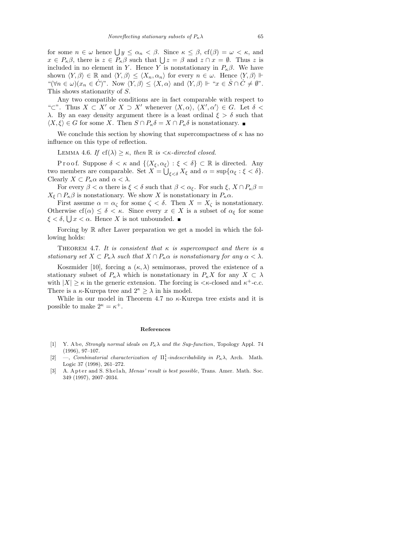for some  $n \in \omega$  hence  $\bigcup y \le \alpha_n < \beta$ . Since  $\kappa \le \beta$ ,  $cf(\beta) = \omega < \kappa$ , and  $x \in P_{\kappa}\beta$ , there is  $z \in P_{\kappa}\beta$  such that  $\bigcup z = \beta$  and  $z \cap x = \emptyset$ . Thus z is included in no element in Y. Hence Y is nonstationary in  $P_{\kappa}\beta$ . We have shown  $\langle Y, \beta \rangle \in \mathbb{R}$  and  $\langle Y, \beta \rangle \leq \langle X_n, \alpha_n \rangle$  for every  $n \in \omega$ . Hence  $\langle Y, \beta \rangle \Vdash$ " $(\forall n \in \omega)(x_n \in \dot{C})$ ". Now  $\langle Y, \beta \rangle \leq \langle X, \alpha \rangle$  and  $\langle Y, \beta \rangle \Vdash "x \in \dot{S} \cap \dot{C} \neq \emptyset"$ . This shows stationarity of S.

Any two compatible conditions are in fact comparable with respect to "⊂". Thus  $X \subset X'$  or  $X \supset X'$  whenever  $\langle X, \alpha \rangle$ ,  $\langle X', \alpha' \rangle \in G$ . Let  $\delta$  < λ. By an easy density argument there is a least ordinal  $ξ > δ$  such that  $\langle X, \xi \rangle \in G$  for some X. Then  $S \cap P_{\kappa} \delta = X \cap P_{\kappa} \delta$  is nonstationary.

We conclude this section by showing that supercompactness of  $\kappa$  has no influence on this type of reflection.

LEMMA 4.6. If  $cf(\lambda) \geq \kappa$ , then  $\mathbb R$  is  $\lt \kappa$ -directed closed.

P r o o f. Suppose  $\delta < \kappa$  and  $\{\langle X_{\xi}, \alpha_{\xi}\rangle : \xi < \delta\} \subset \mathbb{R}$  is directed. Any two members are comparable. Set  $X = \bigcup_{\xi < \delta} X_{\xi}$  and  $\alpha = \sup \{ \alpha_{\xi} : \xi < \delta \}.$ Clearly  $X \subset P_{\kappa} \alpha$  and  $\alpha < \lambda$ .

For every  $\beta < \alpha$  there is  $\xi < \delta$  such that  $\beta < \alpha_{\xi}$ . For such  $\xi$ ,  $X \cap P_{\kappa} \beta =$  $X_{\xi} \cap P_{\kappa}\beta$  is nonstationary. We show X is nonstationary in  $P_{\kappa}\alpha$ .

First assume  $\alpha = \alpha_{\zeta}$  for some  $\zeta < \delta$ . Then  $X = X_{\zeta}$  is nonstationary. Otherwise cf( $\alpha$ )  $\leq \delta < \kappa$ . Since every  $x \in X$  is a subset of  $\alpha_{\xi}$  for some  $\xi < \delta$ ,  $\bigcup x < \alpha$ . Hence X is not unbounded.

Forcing by  $\mathbb R$  after Laver preparation we get a model in which the following holds:

THEOREM 4.7. It is consistent that  $\kappa$  is supercompact and there is a stationary set  $X \subset P_{\kappa} \lambda$  such that  $X \cap P_{\kappa} \alpha$  is nonstationary for any  $\alpha < \lambda$ .

Koszmider [10], forcing a  $(\kappa, \lambda)$  semimorass, proved the existence of a stationary subset of  $P_{\kappa}\lambda$  which is nonstationary in  $P_{\kappa}X$  for any  $X \subset \lambda$ with  $|X| \geq \kappa$  in the generic extension. The forcing is  $\langle \kappa$ -closed and  $\kappa^+$ -c.c. There is a  $\kappa$ -Kurepa tree and  $2^{\kappa} \geq \lambda$  in his model.

While in our model in Theorem 4.7 no  $\kappa$ -Kurepa tree exists and it is possible to make  $2^{\kappa} = \kappa^+$ .

## **References**

- [1] Y. A be, *Strongly normal ideals on*  $P_k \lambda$  *and the Sup-function*, Topology Appl. 74 (1996), 97–107.
- [2]  $\rightarrow$ , *Combinatorial characterization of*  $\Pi_1^1$ -*indescribability in*  $P_\kappa \lambda$ , Arch. Math. Logic 37 (1998), 261–272.
- [3] A. Apter and S. Shelah, *Menas' result is best possible*, Trans. Amer. Math. Soc. 349 (1997), 2007–2034.